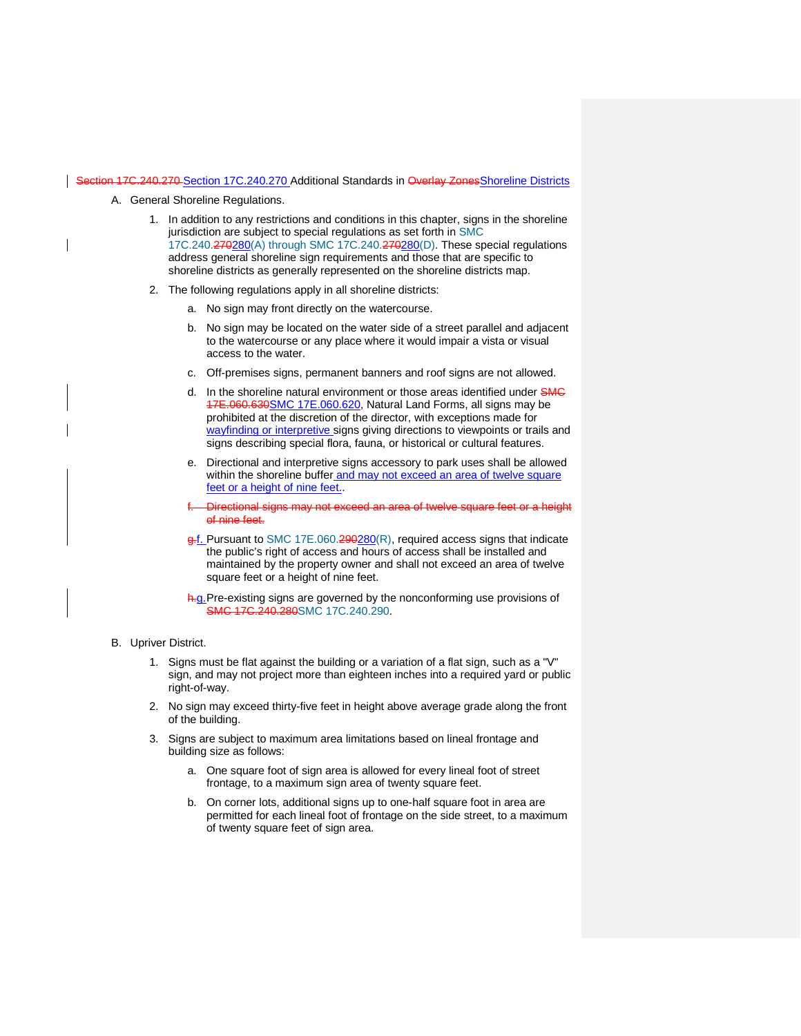## Section 17C.240.270 [Section 17C.240.270](https://my.spokanecity.org/smc/?Section=17C.240.270) Additional Standards in Overlay ZonesShoreline Districts

- A. General Shoreline Regulations.
	- 1. In addition to any restrictions and conditions in this chapter, signs in the shoreline jurisdiction are subject to special regulations as set forth in [SMC](https://my.spokanecity.org/smc/?Chapter=17C.240)  [17C.240.270280\(A\) through SMC 17C.240.270280\(D\).](https://my.spokanecity.org/smc/?Chapter=17C.240) These special regulations address general shoreline sign requirements and those that are specific to shoreline districts as generally represented on the shoreline districts map.
	- 2. The following regulations apply in all shoreline districts:
		- a. No sign may front directly on the watercourse.
		- b. No sign may be located on the water side of a street parallel and adjacent to the watercourse or any place where it would impair a vista or visual access to the water.
		- c. Off-premises signs, permanent banners and roof signs are not allowed.
		- d. In the shoreline natural environment or those areas identified under SMC 17E.060.63[0SMC](https://my.spokanecity.org/smc/?Section=17E.060.630) 17E.060.620, Natural Land Forms, all signs may be prohibited at the discretion of the director, with exceptions made for wayfinding or interpretive signs giving directions to viewpoints or trails and signs describing special flora, fauna, or historical or cultural features.
		- e. Directional and interpretive signs accessory to park uses shall be allowed within the shoreline buffer and may not exceed an area of twelve square feet or a height of nine feet.
		- Directional signs may not exceed an area of twelve square feet or a height of nine feet.
		- g.f. Pursuant to [SMC 17E.060.290280\(R\),](https://my.spokanecity.org/smc/?Section=17E.060.290) required access signs that indicate the public's right of access and hours of access shall be installed and maintained by the property owner and shall not exceed an area of twelve square feet or a height of nine feet.
		- h.g. Pre-existing signs are governed by the nonconforming use provisions of [SMC 17C.240.280SMC 17C.240.290.](https://my.spokanecity.org/smc/?Section=17C.240.280)
- B. Upriver District.
	- 1. Signs must be flat against the building or a variation of a flat sign, such as a "V" sign, and may not project more than eighteen inches into a required yard or public right-of-way.
	- 2. No sign may exceed thirty-five feet in height above average grade along the front of the building.
	- 3. Signs are subject to maximum area limitations based on lineal frontage and building size as follows:
		- a. One square foot of sign area is allowed for every lineal foot of street frontage, to a maximum sign area of twenty square feet.
		- b. On corner lots, additional signs up to one-half square foot in area are permitted for each lineal foot of frontage on the side street, to a maximum of twenty square feet of sign area.